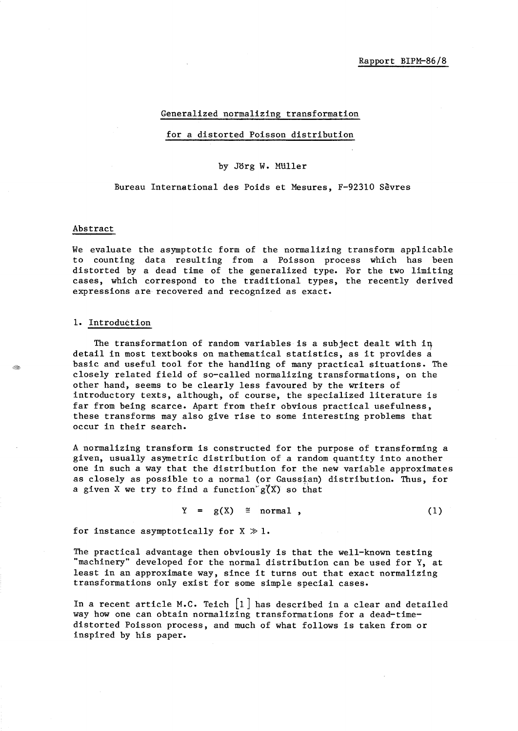#### Generalized normalizing transformation

#### for a distorted Poisson distribution

### by Jorg W. MUller

### Bureau International des Poids et Mesures, F-92310 Sevres

#### Abstract

t dita

We evaluate the asymptotic form of the normalizing transform applicable to counting data resulting from a Poisson process which has been distorted by a dead time of the generalized type. For the two limiting cases, which correspond to the traditional types, the recently derived expressions are recovered and recognized as exact.

#### 1. Introduction

The transformation of random variables is a subject dealt with in detail in most textbooks on mathematical statistics, as it provides a basic and useful tool for the handling of many practical situations. The closely related field of so-called normalizing transformations, on the other hand, seems to be clearly less favoured by the writers of introductory texts, although, of course, the specialized literature is far from being scarce. Apart from their obvious practical usefulness, these transforms may also give rise to some interesting problems that occur in their search.

A normalizing transform is constructed for the purpose of transforming a given, usually asymetric distribution of a random quantity into another one in such a way that the distribution for the new variable approximates as closely as possible to a normal (or Gaussian) distribution. Thus, for a given X we try to find a function  $g''(X)$  so that

$$
Y = g(X) \cong normal, \qquad (1)
$$

for instance asymptotically for  $X \gg 1$ .

The practical advantage then obviously is that the well-known testing "machinery" developed for the normal distribution can be used for Y, at least in an approximate way, since it turns out that exact normalizing transformations only exist for some simple special cases.

In a recent article M.C. Teich  $\begin{bmatrix} 1 \end{bmatrix}$  has described in a clear and detailed way how one can obtain normalizing transformations for a dead-timedistorted Poisson process, and much of what follows is taken from or inspired by his paper.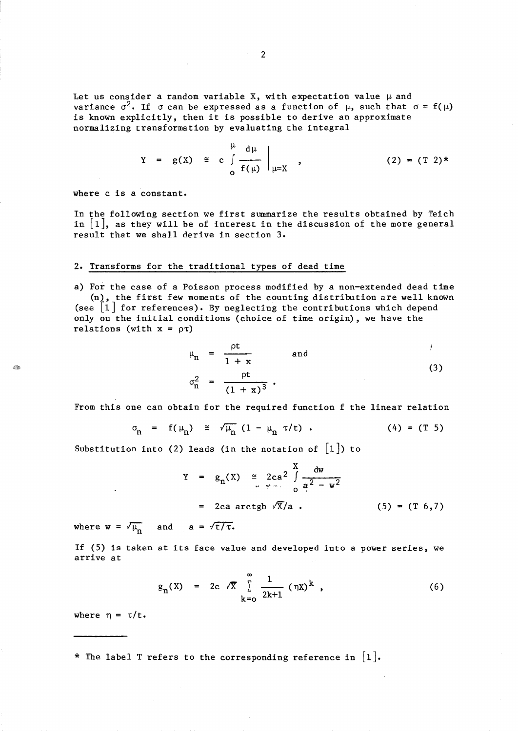Let us consider a random variable X, with expectation value  $\mu$  and variance  $\sigma^2$ . If  $\sigma$  can be expressed as a function of  $\mu$ , such that  $\sigma = f(\mu)$ is known explicitly, then it is possible to derive an approximate normalizing transformation by evaluating the integral

$$
Y = g(X) \cong c \int_{0}^{\mu} \frac{d\mu}{f(\mu)} \Big|_{\mu=X} , \qquad (2) = (T \ 2)^{*}
$$

where c is a constant.

In the following section we first summarize the results obtained by Teich in  $\lfloor 1 \rfloor$ , as they will be of interest in the discussion of the more general result that we shall derive in section 3.

# 2. Transforms for the traditional types of dead time

a) For the case of a Poisson process modified by a non-extended dead time (n), the first few moments of the counting distribution are well known (see  $\llbracket 1 \rrbracket$  for references). By neglecting the contributions which depend only on the initial conditions (choice of time origin), we have the relations (with  $x = \rho \tau$ )

$$
\mu_n = \frac{\rho t}{1 + x} \quad \text{and} \quad n
$$
\n
$$
\sigma_n^2 = \frac{\rho t}{(1 + x)^3} \quad . \tag{3}
$$

From this one can obtain for the required function f the linear relation

$$
\sigma_{n} = f(\mu_{n}) \cong \sqrt{\mu_{n}} (1 - \mu_{n} \tau/t) . \qquad (4) = (T 5)
$$

Substitution into (2) leads (in the notation of  $\lfloor 1 \rfloor$ ) to

$$
Y = g_n(X) \cong 2ca^2 \int_{\frac{\text{av}}{\text{av}}} \frac{dw}{a^2 - w^2}
$$
  
= 2ca arctgh  $\sqrt{x}/a$ . (5) = (T 6,7)

where  $w = \sqrt{\mu_n}$  and  $a = \sqrt{\tau/\tau}$ .

If (5) is taken at its face value and developed into a power series, we arrive at

$$
g_{n}(X) = 2c \sqrt{X} \sum_{k=0}^{\infty} \frac{1}{2k+1} (\eta X)^{k} , \qquad (6)
$$

where  $\eta = \tau/t$ .

\* The label T refers to the corresponding reference in  $\lfloor 1 \rfloor$ .

. Geo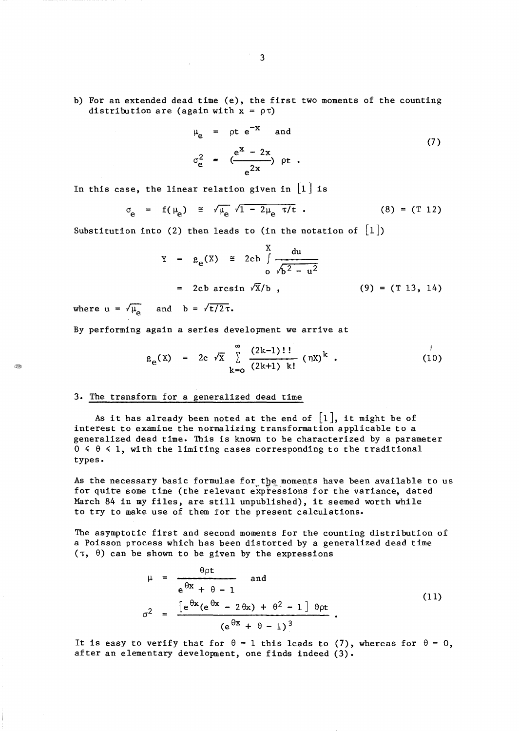b) For an extended dead time (e), the first two moments of the counting distribution are (again with  $x = \rho \tau$ )

$$
\mu_{e} = \rho t e^{-x} \quad \text{and}
$$
\n
$$
\sigma_{e}^{2} = \left( \frac{e^{x} - 2x}{e^{2x}} \right) \rho t .
$$
\n(7)

In this case, the linear relation given in  $[1]$  is

$$
\sigma_{\rm e} = f(\mu_{\rm e}) \approx \sqrt{\mu_{\rm e}} \sqrt{1 - 2\mu_{\rm e} \tau/t}
$$
 (8) = (T 12)

Substitution into (2) then leads to (in the notation of  $[1]$ )

Y = 
$$
g_e(X) \approx 2cb \int_{0}^{X} \frac{du}{\sqrt{b^2 - u^2}}
$$
  
= 2cb arcsin  $\sqrt{X}/b$ , (9) = (T 13, 14)

where  $u = \sqrt{\mu_e}$  and  $b = \sqrt{\frac{t}{2\tau}}$ .

By performing again a series development we arrive at

$$
g_e(X) = 2c \sqrt{X} \sum_{k=0}^{\infty} \frac{(2k-1)!!}{(2k+1)! (nx)^k}
$$
 (10)

# 3. The transform for a generalized dead time

As it has already been noted at the end of  $\lceil 1 \rceil$ , it might be of interest to examine the normalizing transformation applicable to a generalized dead time. This is known to be characterized by a parameter  $0 \le \theta \le 1$ , with the limiting cases corresponding to the traditional types.

As the necessary basic formulae for the moments have been available to us for quite some time (the relevant expressions for the variance, dated March 84 in my files, are still unpublished), it seemed worth while to try to make use of them for the present calculations.

The asymptotic first and second moments for the counting distribution of a Poisson process which has been distorted by a generalized dead time  $(\tau, \theta)$  can be shown to be given by the expressions

$$
\mu = \frac{\theta \rho t}{e^{\theta x} + \theta - 1}
$$
 and  

$$
\sigma^2 = \frac{\left[e^{\theta x}(e^{\theta x} - 2\theta x) + \theta^2 - 1\right] \theta \rho t}{\left(e^{\theta x} + \theta - 1\right)^3}.
$$
 (11)

It is easy to verify that for  $\theta = 1$  this leads to (7), whereas for  $\theta = 0$ , after an elementary development, one finds indeed (3).

890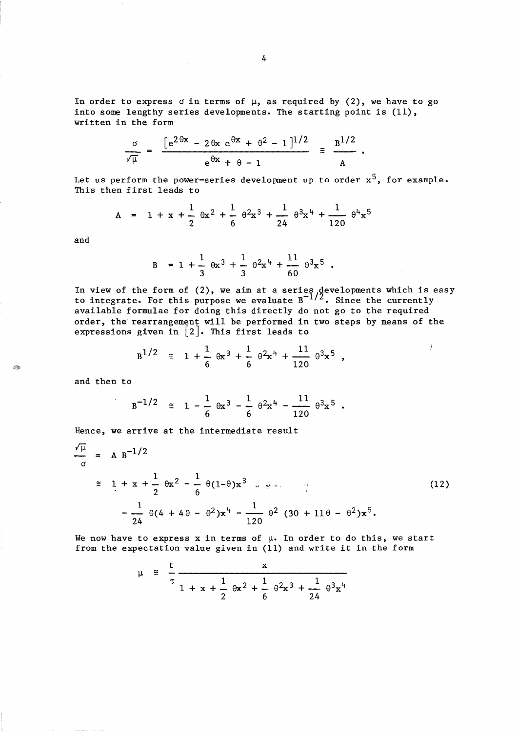In order to express  $\sigma$  in terms of  $\mu$ , as required by (2), we have to go into some lengthy series developments. The starting point is (11), written in the form

$$
\frac{\sigma}{\sqrt{\mu}} = \frac{[e^{2\theta x} - 2\theta x e^{\theta x} + \theta^2 - 1]^{1/2}}{e^{\theta x} + \theta - 1} \equiv \frac{B^{1/2}}{A}
$$

Let us perform the power-series development up to order  $x^5$ , for example. This then first leads to

 $\bullet$ 

$$
A = 1 + x + \frac{1}{2} \theta x^{2} + \frac{1}{6} \theta^{2} x^{3} + \frac{1}{24} \theta^{3} x^{4} + \frac{1}{120} \theta^{4} x^{5}
$$

and

 $\otimes$ 

$$
B = 1 + \frac{1}{3} \theta x^3 + \frac{1}{3} \theta^2 x^4 + \frac{11}{60} \theta^3 x^5.
$$

In view of the form of  $(2)$ , we aim at a series  $\beta$  developments which is easy to integrate. For this purpose we evaluate  $B^{-1/2}$ . Since the currently available formulae for doing this directly do not go to the required order, the' rearrangement will be performed in two steps by means of the expressions given in [2]. This first leads to

$$
B^{1/2} \equiv 1 + \frac{1}{6} \theta x^3 + \frac{1}{6} \theta^2 x^4 + \frac{11}{120} \theta^3 x^5 ,
$$

and then to

$$
B^{-1/2} \equiv 1 - \frac{1}{6} \theta x^3 - \frac{1}{6} \theta^2 x^4 - \frac{11}{120} \theta^3 x^5.
$$

Hence, we arrive at the intermediate result

$$
\frac{\sqrt{\mu}}{\sigma} = A B^{-1/2}
$$
\n
$$
\approx 1 + x + \frac{1}{2} \theta x^{2} - \frac{1}{6} \theta (1-\theta)x^{3} \dots \dots \dots \dots \dots \dots
$$
\n
$$
-\frac{1}{24} \theta (4 + 4\theta - \theta^{2})x^{4} - \frac{1}{120} \theta^{2} (30 + 11\theta - \theta^{2})x^{5}.
$$
\n(12)

We now have to express x in terms of  $\mu$ . In order to do this, we start from the expectation value given in (11) and write it in the form

$$
\mu \cong \frac{t}{\tau} \frac{x}{1 + x + \frac{1}{2} \theta x^2 + \frac{1}{6} \theta^2 x^3 + \frac{1}{24} \theta^3 x^4}
$$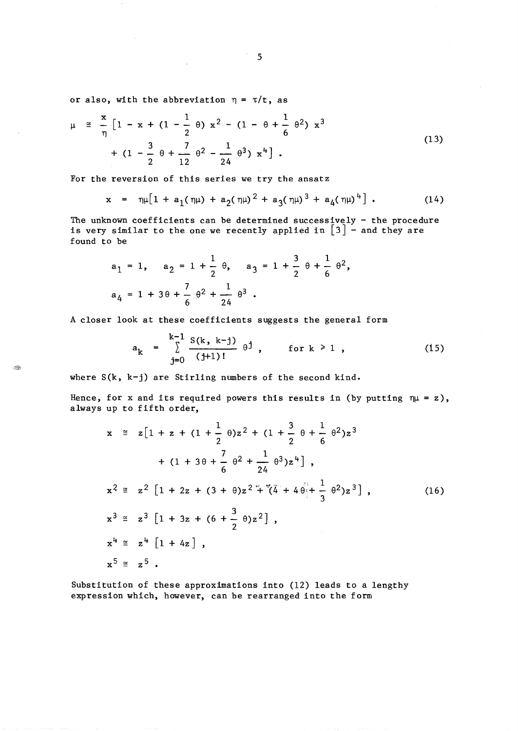or also, with the abbreviation  $\eta = \tau/t$ , as

$$
\mu \cong \frac{x}{\eta} \left[ 1 - x + (1 - \frac{1}{2} \theta) x^2 - (1 - \theta + \frac{1}{6} \theta^2) x^3 + (1 - \frac{3}{2} \theta + \frac{7}{12} \theta^2 - \frac{1}{24} \theta^3) x^4 \right].
$$
\n(13)

For the reversion of this series we try the ansatz

$$
x = \eta \mu \left[ 1 + a_1(\eta \mu) + a_2(\eta \mu)^2 + a_3(\eta \mu)^3 + a_4(\eta \mu)^4 \right]. \tag{14}
$$

The unknown coefficients can be determined successively - the procedure is very similar to the one we recently applied in  $\lceil 3 \rceil$  - and they are found to be

$$
a_1 = 1, \quad a_2 = 1 + \frac{1}{2} \theta, \quad a_3 = 1 + \frac{3}{2} \theta + \frac{1}{6} \theta^2,
$$
  

$$
a_4 = 1 + 3\theta + \frac{7}{6} \theta^2 + \frac{1}{24} \theta^3.
$$

A closer look at these coefficients suggests the general form

$$
a_k = \sum_{j=0}^{k-1} \frac{S(k, k-j)}{(j+1)!} \theta^j, \quad \text{for } k \ge 1,
$$
 (15)

where S(k, k-j) are Stirling numbers of the second kind.

٩

Hence, for x and its required powers this results in (by putting  $\eta\mu = z$ ), always up to fifth order,

$$
x \cong z[1 + z + (1 + \frac{1}{2} \theta)z^{2} + (1 + \frac{3}{2} \theta + \frac{1}{6} \theta^{2})z^{3}
$$
  
+  $(1 + 3\theta + \frac{7}{6} \theta^{2} + \frac{1}{24} \theta^{3})z^{4}]$ ,  

$$
x^{2} \cong z^{2}[1 + 2z + (3 + \theta)z^{2} + \sqrt[n]{4} + 4\theta] + \frac{1}{3} \theta^{2})z^{3}],
$$
  

$$
x^{3} \cong z^{3}[1 + 3z + (6 + \frac{3}{2} \theta)z^{2}],
$$
  

$$
x^{4} \cong z^{4}[1 + 4z],
$$
  

$$
x^{5} \cong z^{5}.
$$
  

$$
(16)
$$

Substitution of these approximations into (12) leads to a lengthy expression which, however, can be rearranged into the form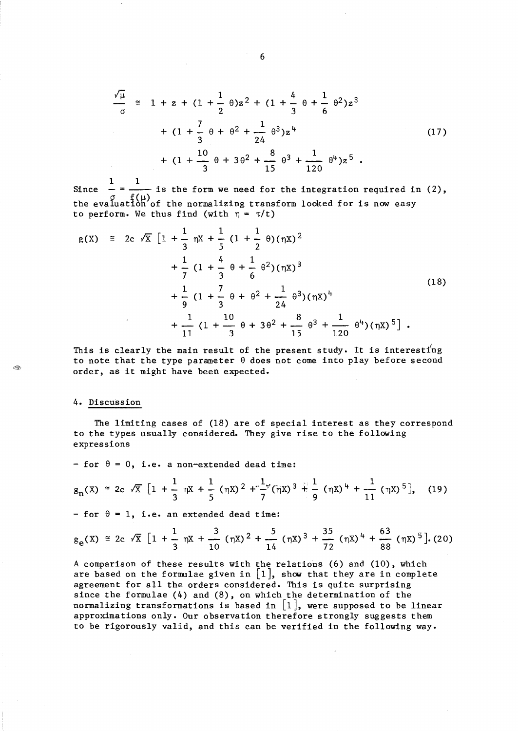$$
\frac{\sqrt{\mu}}{\sigma} \cong 1 + z + (1 + \frac{1}{2} \theta)z^{2} + (1 + \frac{4}{3} \theta + \frac{1}{6} \theta^{2})z^{3}
$$
  
+ 
$$
(1 + \frac{7}{3} \theta + \theta^{2} + \frac{1}{24} \theta^{3})z^{4}
$$
  
+ 
$$
(1 + \frac{10}{3} \theta + 3\theta^{2} + \frac{8}{15} \theta^{3} + \frac{1}{120} \theta^{4})z^{5}
$$
 (17)

Since  $\frac{1}{\sigma} = \frac{1}{f(u)}$  is the form we need for the integration required in (2), the evaluation of the normalizing transform looked for is now easy to perform. We thus find (with  $\eta = \tau/t$ )

$$
g(X) \cong 2c \sqrt{X} \left[ 1 + \frac{1}{3} \eta X + \frac{1}{5} (1 + \frac{1}{2} \theta) (\eta X)^2 + \frac{1}{7} (1 + \frac{4}{3} \theta + \frac{1}{6} \theta^2) (\eta X)^3 + \frac{1}{9} (1 + \frac{7}{3} \theta + \theta^2 + \frac{1}{24} \theta^3) (\eta X)^4 + \frac{1}{11} (1 + \frac{10}{3} \theta + 3\theta^2 + \frac{8}{15} \theta^3 + \frac{1}{120} \theta^4) (\eta X)^5 \right].
$$
\n(18)

This is clearly the main result of the present study. It is interesting to note that the type parameter  $\theta$  does not come into play before second order, as it might have been expected.

### 4. Discussion

Ä

The limiting cases of (18) are of special interest as they correspond to the types usually considered. They give rise to the following expressions

 $f{f}$  for  $\theta = 0$ , i.e. a non-extended dead time:

$$
g_{n}(X) \cong 2c \sqrt{X} \left[1 + \frac{1}{3} \eta X + \frac{1}{5} (\eta X)^{2} + \frac{1}{7} (\eta X)^{3} + \frac{1}{9} (\eta X)^{4} + \frac{1}{11} (\eta X)^{5}\right], \quad (19)
$$

- for  $\theta = 1$ , i.e. an extended dead time:

$$
g_e(X) \approx 2c \sqrt{X} \left[1 + \frac{1}{3} \eta X + \frac{3}{10} (\eta X)^2 + \frac{5}{14} (\eta X)^3 + \frac{35}{72} (\eta X)^4 + \frac{63}{88} (\eta X)^5\right]
$$
 (20)

A comparison of these results with the relations (6) and (10), which are based on the formulae given in  $[1]$ , show that they are in complete agreement for all the orders considered. This is quite surprising since the formulae (4) and (8), on which the determination of the normalizing transformations is based in  $\lfloor 1 \rfloor$ , were supposed to be linear approximations only. Our observation therefore strongly suggests them to be rigorously valid, and this can be verified in the following way.